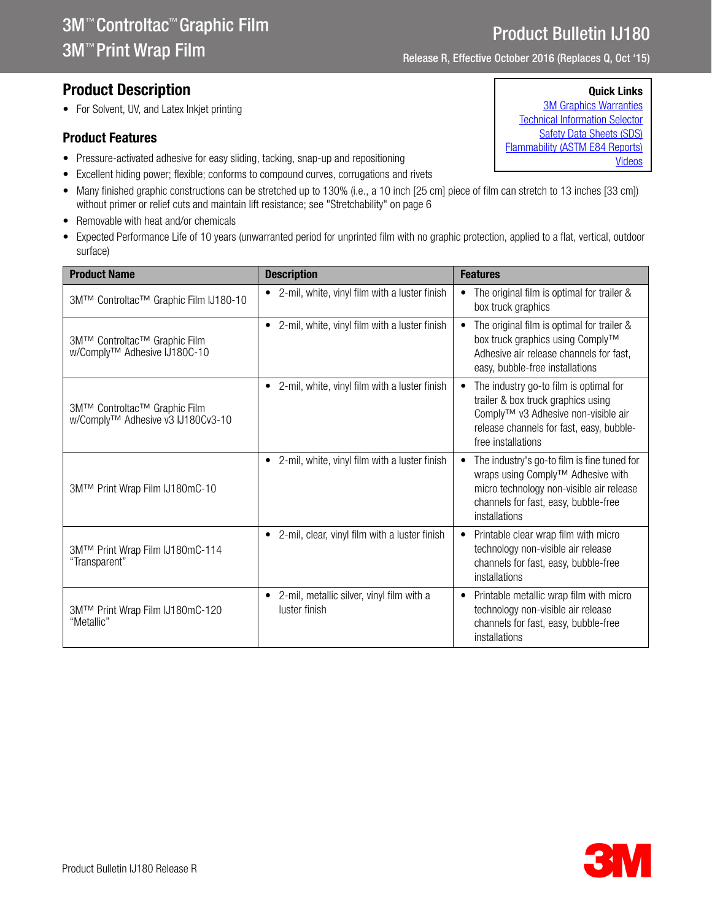Product Bulletin IJ180 Release R

## Product Description

• For Solvent, UV, and Latex Inkjet printing

#### Product Features

- Pressure-activated adhesive for easy sliding, tacking, snap-up and repositioning
- Excellent hiding power; flexible; conforms to compound curves, corrugations and rivets
- Many finished graphic constructions can be stretched up to 130% (i.e., a 10 inch [25 cm] piece of film can stretch to 13 inches [33 cm]) without primer or relief cuts and maintain lift resistance; see "Stretchability" on page 6
- Removable with heat and/or chemicals
- Expected Performance Life of 10 years (unwarranted period for unprinted film with no graphic protection, applied to a flat, vertical, outdoor surface)

| <b>Product Name</b>                                               | <b>Description</b>                                                      | <b>Features</b>                                                                                                                                                                                    |
|-------------------------------------------------------------------|-------------------------------------------------------------------------|----------------------------------------------------------------------------------------------------------------------------------------------------------------------------------------------------|
| 3M™ Controltac™ Graphic Film IJ180-10                             | • 2-mil, white, vinyl film with a luster finish                         | The original film is optimal for trailer &<br>$\bullet$<br>box truck graphics                                                                                                                      |
| 3M™ Controltac™ Graphic Film<br>w/Comply™ Adhesive IJ180C-10      | 2-mil, white, vinyl film with a luster finish<br>٠                      | The original film is optimal for trailer &<br>$\bullet$<br>box truck graphics using Comply™<br>Adhesive air release channels for fast,<br>easy, bubble-free installations                          |
| 3M™ Controltac™ Graphic Film<br>w/Comply™ Adhesive v3 IJ180Cv3-10 | 2-mil, white, vinyl film with a luster finish<br>٠                      | The industry go-to film is optimal for<br>٠<br>trailer & box truck graphics using<br>Comply™ v3 Adhesive non-visible air<br>release channels for fast, easy, bubble-<br>free installations         |
| 3M™ Print Wrap Film IJ180mC-10                                    | 2-mil, white, vinyl film with a luster finish<br>$\bullet$              | The industry's go-to film is fine tuned for<br>$\bullet$<br>wraps using Comply™ Adhesive with<br>micro technology non-visible air release<br>channels for fast, easy, bubble-free<br>installations |
| 3M™ Print Wrap Film IJ180mC-114<br>"Transparent"                  | • 2-mil, clear, vinyl film with a luster finish                         | Printable clear wrap film with micro<br>$\bullet$<br>technology non-visible air release<br>channels for fast, easy, bubble-free<br>installations                                                   |
| 3M™ Print Wrap Film IJ180mC-120<br>"Metallic"                     | 2-mil, metallic silver, vinyl film with a<br>$\bullet$<br>luster finish | Printable metallic wrap film with micro<br>$\bullet$<br>technology non-visible air release<br>channels for fast, easy, bubble-free<br>installations                                                |



Release R, Effective October 2016 (Replaces Q, Oct '15)

#### Quick Links

[3M Graphics Warranties](http://solutions.3m.com/wps/portal/3M/en_US/Graphics/3Mgraphics/ToolsandSupport/Warranties/?WT.mc_id=www.3mgraphics.com/warranties) [Technical Information Selector](http://solutions.3m.com/wps/portal/3M/en_US/Graphics/3Mgraphics/ToolsAndSupport/TechnicalInformation/) [Safety Data Sheets \(SDS\)](http://solutions.3m.com/wps/portal/3M/en_WW/MSDS/Search?gsaAction=msdsSRA) [Flammability \(ASTM E84 Reports\)](#page-2-0) [Videos](http://solutions.3m.com/wps/portal/3M/en_US/Graphics/3Mgraphics/ToolsAndSupport/Videos/)

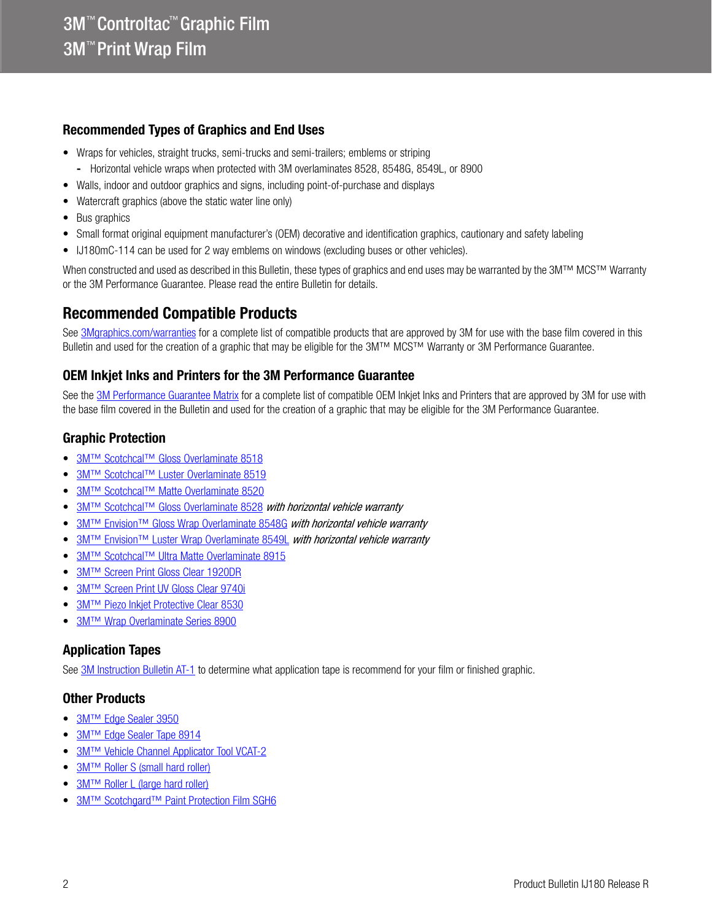### Recommended Types of Graphics and End Uses

- Wraps for vehicles, straight trucks, semi-trucks and semi-trailers; emblems or striping
- Horizontal vehicle wraps when protected with 3M overlaminates 8528, 8548G, 8549L, or 8900
- Walls, indoor and outdoor graphics and signs, including point-of-purchase and displays
- Watercraft graphics (above the static water line only)
- Bus graphics
- Small format original equipment manufacturer's (OEM) decorative and identification graphics, cautionary and safety labeling
- IJ180mC-114 can be used for 2 way emblems on windows (excluding buses or other vehicles).

When constructed and used as described in this Bulletin, these types of graphics and end uses may be warranted by the 3M™ MCS™ Warranty or the 3M Performance Guarantee. Please read the entire Bulletin for details.

## Recommended Compatible Products

See [3Mgraphics.com/warranties](http://solutions.3m.com/wps/portal/3M/en_US/Graphics/3Mgraphics/ToolsandSupport/Warranties/?WT.mc_id=www.3mgraphics.com/warranties) for a complete list of compatible products that are approved by 3M for use with the base film covered in this Bulletin and used for the creation of a graphic that may be eligible for the 3M™ MCS™ Warranty or 3M Performance Guarantee.

### OEM Inkjet Inks and Printers for the 3M Performance Guarantee

See the [3M Performance Guarantee Matrix](http://multimedia.3m.com/mws/media/443364O/pg-printer-ink-film-linked-warranty-matrix.pdf?fn=PG%20Warranty%20Matrix.pdf) for a complete list of compatible OEM Inkjet Inks and Printers that are approved by 3M for use with the base film covered in the Bulletin and used for the creation of a graphic that may be eligible for the 3M Performance Guarantee.

### <span id="page-1-0"></span>Graphic Protection

- [3M™ Scotchcal™ Gloss Overlaminate 8518](http://multimedia.3m.com/mws/media/1095387O/3m-scotchcal-overlaminate-product-bulletin.pdf)
- [3M™ Scotchcal™ Luster Overlaminate 8519](http://multimedia.3m.com/mws/media/1095387O/3m-scotchcal-overlaminate-product-bulletin.pdf)
- [3M™ Scotchcal™ Matte Overlaminate 8520](http://multimedia.3m.com/mws/media/1095387O/3m-scotchcal-overlaminate-product-bulletin.pdf)
- [3M™ Scotchcal™ Gloss Overlaminate 8528](http://multimedia.3m.com/mws/media/558531O/product-bulletin-gp-1.pdf) *with horizontal vehicle warranty*
- 3M<sup>™</sup> Envision™ Gloss Wrap Overlaminate 8548G with horizontal vehicle warranty
- 3M<sup>™</sup> Envision™ Luster Wrap Overlaminate 8549L with horizontal vehicle warranty
- [3M™ Scotchcal™ Ultra Matte Overlaminate 8915](http://multimedia.3m.com/mws/media/1095387O/3m-scotchcal-overlaminate-product-bulletin.pdf)
- [3M™ Screen Print Gloss Clear 1920DR](http://multimedia.3m.com/mws/media/12348O/1900-solvent-screen-print-ink-line-and-four-color-clears.pdf)
- [3M™ Screen Print UV Gloss Clear 9740i](http://multimedia.3m.com/mws/media/819249O/uv-clear-coats.pdf)
- 3M™ Piezo Inkiet Protective Clear 8530
- **[3M™ Wrap Overlaminate Series 8900](http://multimedia.3m.com/mws/media/1114584O/3m-wrap-overlaminate-series-8900.pdf)**

### Application Tapes

See [3M Instruction Bulletin AT-1](http://multimedia.3m.com/mws/media/1032943O/instruction-bulletin-at-1-application-tables.pdf) to determine what application tape is recommend for your film or finished graphic.

### Other Products

- [3M™ Edge Sealer 3950](http://multimedia.3m.com/mws/media/114158O/edge-sealer-3950-4150s-and-edge-sealer-tape-8914.pdf)
- **[3M™ Edge Sealer Tape 8914](http://multimedia.3m.com/mws/media/114158O/edge-sealer-3950-4150s-and-edge-sealer-tape-8914.pdf)**
- **[3M™ Vehicle Channel Applicator Tool VCAT-2](http://multimedia.3m.com/mws/media/471744O/vehicle-channel-applicator-tools-vcat-2-roller-l-roller-s.pdf)**
- [3M™ Roller S \(small hard roller\)](http://multimedia.3m.com/mws/media/471744O/vehicle-channel-applicator-tools-vcat-2-roller-l-roller-s.pdf)
- [3M™ Roller L \(large hard roller\)](http://multimedia.3m.com/mws/media/471744O/vehicle-channel-applicator-tools-vcat-2-roller-l-roller-s.pdf)
- **[3M™ Scotchgard™ Paint Protection Film SGH6](http://multimedia.3m.com/mws/media/864001O/3mtm-paint-protection-film-on-3m-vehicle-wraps.pdf)**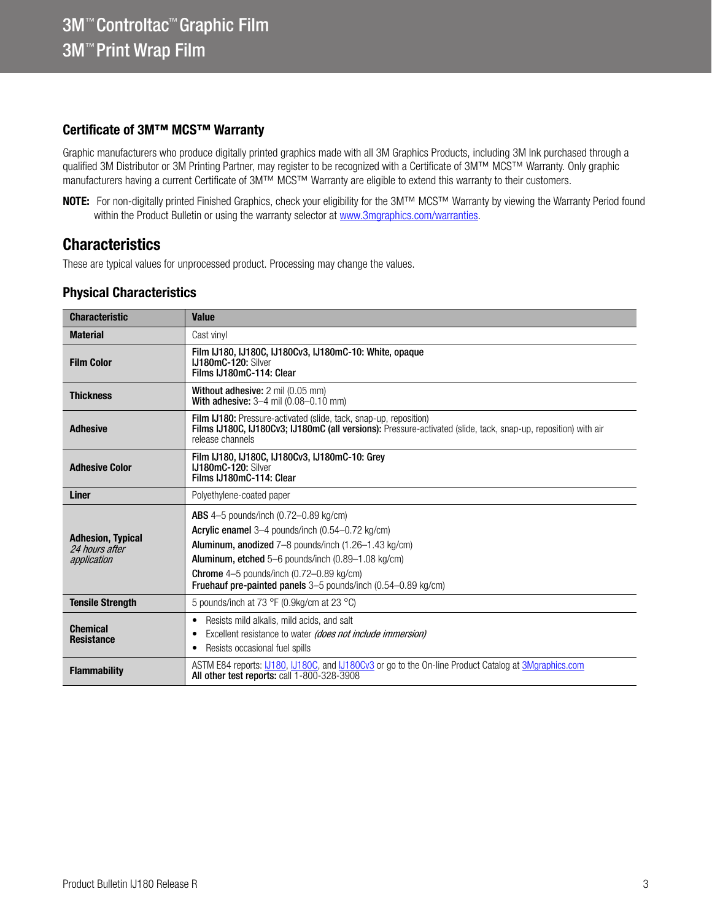### Certificate of 3M™ MCS™ Warranty

Graphic manufacturers who produce digitally printed graphics made with all 3M Graphics Products, including 3M Ink purchased through a qualified 3M Distributor or 3M Printing Partner, may register to be recognized with a Certificate of 3M™ MCS™ Warranty. Only graphic manufacturers having a current Certificate of 3M™ MCS™ Warranty are eligible to extend this warranty to their customers.

NOTE: For non-digitally printed Finished Graphics, check your eligibility for the 3M™ MCS™ Warranty by viewing the Warranty Period found within the Product Bulletin or using the warranty selector at<www.3mgraphics.com/warranties>.

## **Characteristics**

These are typical values for unprocessed product. Processing may change the values.

### <span id="page-2-0"></span>Physical Characteristics

| <b>Characteristic</b>                                     | <b>Value</b>                                                                                                                                                                                                                                                                                                                                                             |
|-----------------------------------------------------------|--------------------------------------------------------------------------------------------------------------------------------------------------------------------------------------------------------------------------------------------------------------------------------------------------------------------------------------------------------------------------|
| <b>Material</b>                                           | Cast vinvl                                                                                                                                                                                                                                                                                                                                                               |
| <b>Film Color</b>                                         | Film IJ180, IJ180C, IJ180Cv3, IJ180mC-10: White, opaque<br>IJ180mC-120: Silver<br>Films IJ180mC-114: Clear                                                                                                                                                                                                                                                               |
| <b>Thickness</b>                                          | <b>Without adhesive: 2 mil (0.05 mm)</b><br><b>With adhesive:</b> $3-4$ mil $(0.08-0.10$ mm)                                                                                                                                                                                                                                                                             |
| <b>Adhesive</b>                                           | Film IJ180: Pressure-activated (slide, tack, snap-up, reposition)<br>Films IJ180C, IJ180Cv3; IJ180mC (all versions): Pressure-activated (slide, tack, snap-up, reposition) with air<br>release channels                                                                                                                                                                  |
| <b>Adhesive Color</b>                                     | Film IJ180, IJ180C, IJ180Cv3, IJ180mC-10: Grev<br><b>IJ180mC-120: Silver</b><br>Films IJ180mC-114: Clear                                                                                                                                                                                                                                                                 |
| <b>Liner</b>                                              | Polyethylene-coated paper                                                                                                                                                                                                                                                                                                                                                |
| <b>Adhesion, Typical</b><br>24 hours after<br>application | <b>ABS</b> 4-5 pounds/inch (0.72-0.89 kg/cm)<br>Acrylic enamel 3-4 pounds/inch (0.54-0.72 kg/cm)<br><b>Aluminum, anodized</b> $7-8$ pounds/inch $(1.26-1.43 \text{ kg/cm})$<br>Aluminum, etched 5–6 pounds/inch (0.89–1.08 kg/cm)<br><b>Chrome</b> $4-5$ pounds/inch $(0.72-0.89 \text{ kg/cm})$<br><b>Fruehauf pre-painted panels</b> 3–5 pounds/inch (0.54–0.89 kg/cm) |
| <b>Tensile Strength</b>                                   | 5 pounds/inch at 73 $\degree$ F (0.9kg/cm at 23 $\degree$ C)                                                                                                                                                                                                                                                                                                             |
| <b>Chemical</b><br><b>Resistance</b>                      | Resists mild alkalis, mild acids, and salt<br>٠<br>Excellent resistance to water (does not include immersion)<br>٠<br>Resists occasional fuel spills<br>٠                                                                                                                                                                                                                |
| <b>Flammability</b>                                       | ASTM E84 reports: L1180, L1180C, and L1180Cv3 or go to the On-line Product Catalog at 3Mgraphics.com<br>All other test reports: call 1-800-328-3908                                                                                                                                                                                                                      |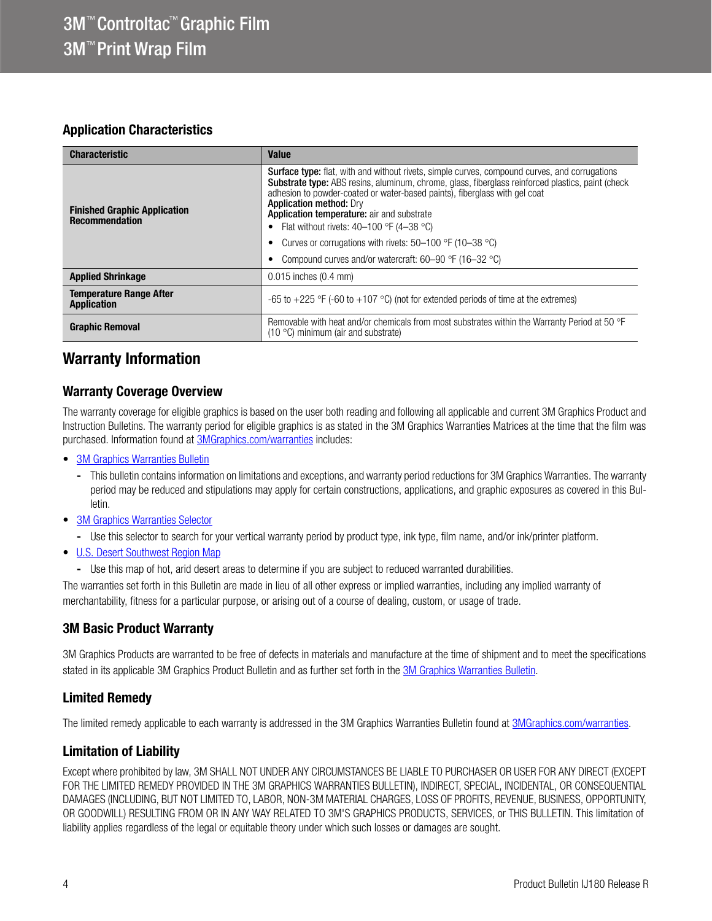### Application Characteristics

| <b>Characteristic</b>                                        | <b>Value</b>                                                                                                                                                                                                                                                                                                                                                                                                                                                                                                                                    |  |
|--------------------------------------------------------------|-------------------------------------------------------------------------------------------------------------------------------------------------------------------------------------------------------------------------------------------------------------------------------------------------------------------------------------------------------------------------------------------------------------------------------------------------------------------------------------------------------------------------------------------------|--|
| <b>Finished Graphic Application</b><br><b>Recommendation</b> | Surface type: flat, with and without rivets, simple curves, compound curves, and corrugations<br><b>Substrate type:</b> ABS resins, aluminum, chrome, glass, fiberglass reinforced plastics, paint (check<br>adhesion to powder-coated or water-based paints), fiberglass with gel coat<br><b>Application method: Dry</b><br>Application temperature: air and substrate<br>Flat without rivets: $40-100$ °F (4-38 °C)<br>Curves or corrugations with rivets: $50-100$ °F (10-38 °C)<br>Compound curves and/or watercraft: $60-90$ °F (16-32 °C) |  |
| <b>Applied Shrinkage</b>                                     | $0.015$ inches $(0.4$ mm)                                                                                                                                                                                                                                                                                                                                                                                                                                                                                                                       |  |
| <b>Temperature Range After</b><br><b>Application</b>         | -65 to +225 °F (-60 to +107 °C) (not for extended periods of time at the extremes)                                                                                                                                                                                                                                                                                                                                                                                                                                                              |  |
| <b>Graphic Removal</b>                                       | Removable with heat and/or chemicals from most substrates within the Warranty Period at 50 °F<br>$(10 °C)$ minimum (air and substrate)                                                                                                                                                                                                                                                                                                                                                                                                          |  |

## Warranty Information

### Warranty Coverage Overview

The warranty coverage for eligible graphics is based on the user both reading and following all applicable and current 3M Graphics Product and Instruction Bulletins. The warranty period for eligible graphics is as stated in the 3M Graphics Warranties Matrices at the time that the film was purchased. Information found at **3MGraphics.com/warranties** includes:

- [3M Graphics Warranties Bulletin](http://multimedia.3m.com/mws/media/1034875O/3mtm-graphics-warranty-bulletin.pdf?fn=Warranty_Bulletin.pdf)
	- This bulletin contains information on limitations and exceptions, and warranty period reductions for 3M Graphics Warranties. The warranty period may be reduced and stipulations may apply for certain constructions, applications, and graphic exposures as covered in this Bulletin.
- [3M Graphics Warranties Selector](http://solutions.3m.com/wps/portal/3M/en_US/Graphics/3Mgraphics/ToolsAndSupport/Warranties/?PC_Z7_RJH9U5230GE3E02LECFTDQ02P3000000_assetType=MMM_Article&PC_Z7_RJH9U5230GE3E02LECFTDQ02P3000000_assetId=1114269959113&PC_Z7_RJH9U5230GE3E02LECFTDQ02P3000000_univid=1114269959113#Z7_RJH9U5230GE3E02LECFTDQ02P3)
	- Use this selector to search for your vertical warranty period by product type, ink type, film name, and/or ink/printer platform.
- [U.S. Desert Southwest Region Map](http://multimedia.3m.com/mws/media/307873O/desert-southwest-region-defined.pdf?fn=Map_DSW.pdf)
	- Use this map of hot, arid desert areas to determine if you are subject to reduced warranted durabilities.

The warranties set forth in this Bulletin are made in lieu of all other express or implied warranties, including any implied warranty of merchantability, fitness for a particular purpose, or arising out of a course of dealing, custom, or usage of trade.

#### 3M Basic Product Warranty

3M Graphics Products are warranted to be free of defects in materials and manufacture at the time of shipment and to meet the specifications stated in its applicable 3M Graphics Product Bulletin and as further set forth in the [3M Graphics Warranties Bulletin.](http://multimedia.3m.com/mws/media/1034875O/3mtm-graphics-warranty-bulletin.pdf?fn=Warranty%20Bulletin.pdf)

#### Limited Remedy

The limited remedy applicable to each warranty is addressed in the 3M Graphics Warranties Bulletin found at [3MGraphics.com/warranties.](www.3mgraphics.com/warranties)

### Limitation of Liability

Except where prohibited by law, 3M SHALL NOT UNDER ANY CIRCUMSTANCES BE LIABLE TO PURCHASER OR USER FOR ANY DIRECT (EXCEPT FOR THE LIMITED REMEDY PROVIDED IN THE 3M GRAPHICS WARRANTIES BULLETIN), INDIRECT, SPECIAL, INCIDENTAL, OR CONSEQUENTIAL DAMAGES (INCLUDING, BUT NOT LIMITED TO, LABOR, NON-3M MATERIAL CHARGES, LOSS OF PROFITS, REVENUE, BUSINESS, OPPORTUNITY, OR GOODWILL) RESULTING FROM OR IN ANY WAY RELATED TO 3M'S GRAPHICS PRODUCTS, SERVICES, or THIS BULLETIN. This limitation of liability applies regardless of the legal or equitable theory under which such losses or damages are sought.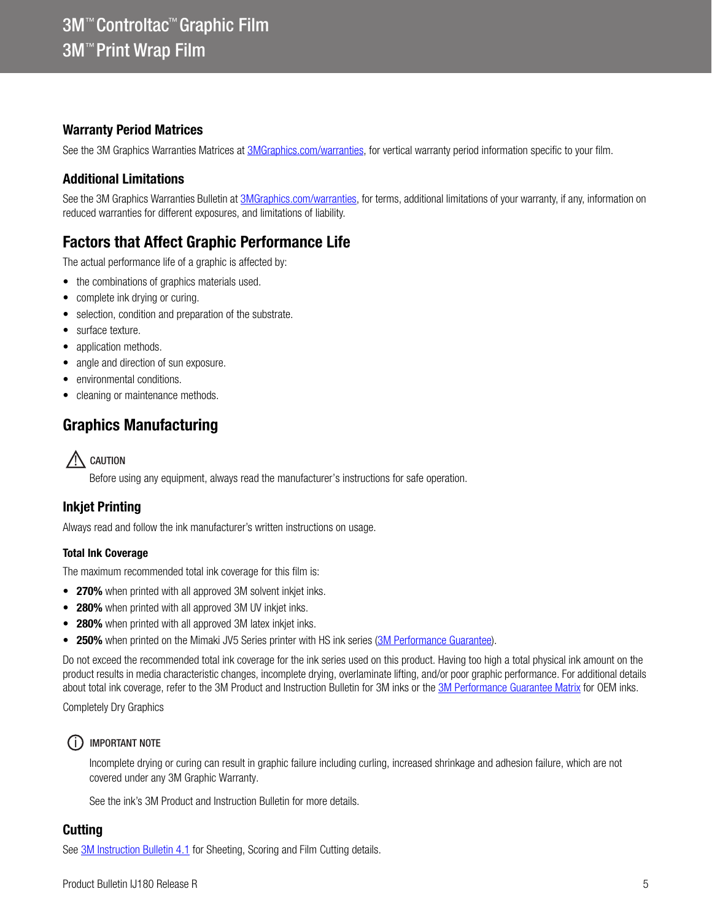### Warranty Period Matrices

See the 3M Graphics Warranties Matrices at [3MGraphics.com/warranties,](http://solutions.3m.com/wps/portal/3M/en_US/Graphics/3Mgraphics/ToolsandSupport/Warranties/?WT.mc_id=www.3mgraphics.com/warranties) for vertical warranty period information specific to your film.

## Additional Limitations

See the 3M Graphics Warranties Bulletin at [3MGraphics.com/warranties,](http://solutions.3m.com/wps/portal/3M/en_US/Graphics/3Mgraphics/ToolsandSupport/Warranties/?WT.mc_id=www.3mgraphics.com/warranties) for terms, additional limitations of your warranty, if any, information on reduced warranties for different exposures, and limitations of liability.

# Factors that Affect Graphic Performance Life

The actual performance life of a graphic is affected by:

- the combinations of graphics materials used.
- complete ink drying or curing.
- selection, condition and preparation of the substrate.
- surface texture.
- application methods.
- angle and direction of sun exposure.
- environmental conditions.
- cleaning or maintenance methods.

# Graphics Manufacturing

 $\bigwedge$  CAUTION

Before using any equipment, always read the manufacturer's instructions for safe operation.

### Inkjet Printing

Always read and follow the ink manufacturer's written instructions on usage.

#### Total Ink Coverage

The maximum recommended total ink coverage for this film is:

- 270% when printed with all approved 3M solvent inkjet inks.
- 280% when printed with all approved 3M UV inkjet inks.
- 280% when printed with all approved 3M latex inkjet inks.
- 250% when printed on the Mimaki JV5 Series printer with HS ink series ([3M Performance Guarantee\)](www.3mgraphics.com/warranties).

Do not exceed the recommended total ink coverage for the ink series used on this product. Having too high a total physical ink amount on the product results in media characteristic changes, incomplete drying, overlaminate lifting, and/or poor graphic performance. For additional details about total ink coverage, refer to the 3M Product and Instruction Bulletin for 3M inks or the [3M Performance Guarantee Matrix](www.3mgraphics.com/warranties) for OEM inks.

Completely Dry Graphics

#### (i) IMPORTANT NOTE

Incomplete drying or curing can result in graphic failure including curling, increased shrinkage and adhesion failure, which are not covered under any 3M Graphic Warranty.

See the ink's 3M Product and Instruction Bulletin for more details.

### **Cutting**

See [3M Instruction Bulletin 4.1](http://multimedia.3m.com/mws/media/12586O/4-1-scoring-and-cutting.pdf) for Sheeting, Scoring and Film Cutting details.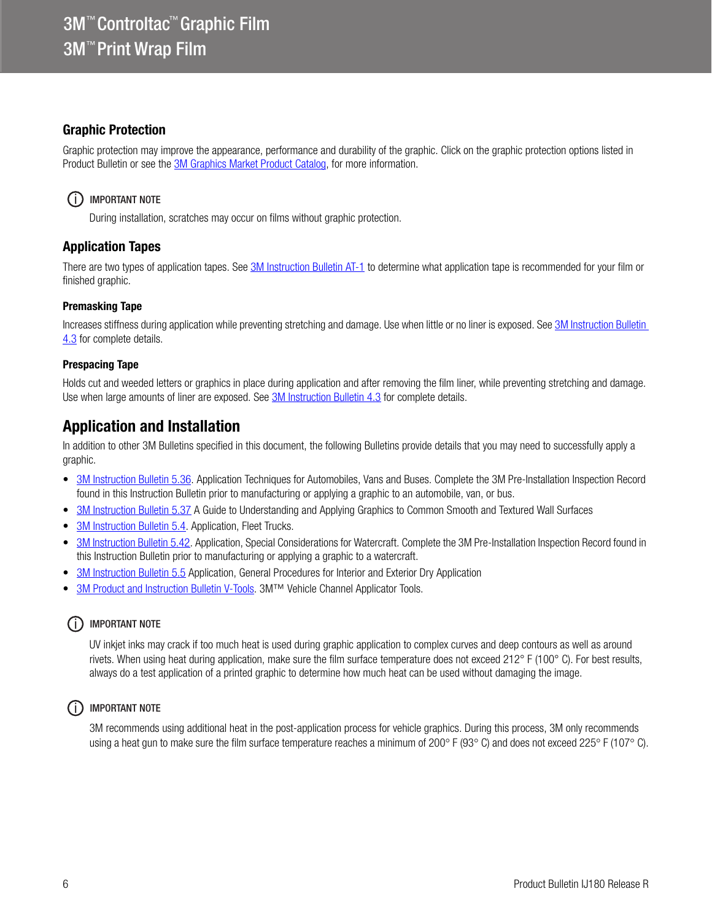#### Graphic Protection

Graphic protection may improve the appearance, performance and durability of the graphic. Click on the graphic protection options listed in Product Bulletin or see the [3M Graphics Market Product Catalog,](http://multimedia.3m.com/mws/media/443279O/inkjet-catalog-lowres.pdf) for more information.

#### (i) IMPORTANT NOTE

During installation, scratches may occur on films without graphic protection.

### Application Tapes

There are two types of application tapes. See [3M Instruction Bulletin AT-1](http://multimedia.3m.com/mws/media/1032943O/instruction-bulletin-at-1-application-tables.pdf) to determine what application tape is recommended for your film or finished graphic.

#### Premasking Tape

Increases stiffness during application while preventing stretching and damage. Use when little or no liner is exposed. See 3M Instruction Bulletin [4.3](http://multimedia.3m.com/mws/media/12587O/4-3-application-tapes-premasking-and-prespacing.pdf) for complete details.

#### Prespacing Tape

Holds cut and weeded letters or graphics in place during application and after removing the film liner, while preventing stretching and damage. Use when large amounts of liner are exposed. See [3M Instruction Bulletin 4.3](http://multimedia.3m.com/mws/media/12587O/4-3-application-tapes-premasking-and-prespacing.pdf) for complete details.

## Application and Installation

In addition to other 3M Bulletins specified in this document, the following Bulletins provide details that you may need to successfully apply a graphic.

- [3M Instruction Bulletin 5.36](http://multimedia.3m.com/mws/media/100373O/5-36-application-techniques-for-automobiles-vans-and-buses.pdf). Application Techniques for Automobiles, Vans and Buses. Complete the 3M Pre-Installation Inspection Record found in this Instruction Bulletin prior to manufacturing or applying a graphic to an automobile, van, or bus.
- [3M Instruction Bulletin 5.37](http://multimedia.3m.com/mws/media/241610O/5-37-application-guide-to-smooth-and-textured-walls.pdf) A Guide to Understanding and Applying Graphics to Common Smooth and Textured Wall Surfaces
- [3M Instruction Bulletin 5.4.](http://multimedia.3m.com/mws/media/12597O/5-4-application-of-film-to-vehicles-special-applications.pdf) Application, Fleet Trucks.
- [3M Instruction Bulletin 5.42](http://multimedia.3m.com/mws/media/503711O/application-special-considerations-for-watercraft.pdf). Application, Special Considerations for Watercraft. Complete the 3M Pre-Installation Inspection Record found in this Instruction Bulletin prior to manufacturing or applying a graphic to a watercraft.
- [3M Instruction Bulletin 5.5](http://multimedia.3m.com/mws/media/9620O/5-5-application-dry-method.pdf) Application, General Procedures for Interior and Exterior Dry Application
- 3M Product and Instruction Bulletin V-Tools</u>. 3M™ Vehicle Channel Applicator Tools.

#### (i) IMPORTANT NOTE

UV inkjet inks may crack if too much heat is used during graphic application to complex curves and deep contours as well as around rivets. When using heat during application, make sure the film surface temperature does not exceed 212° F (100° C). For best results, always do a test application of a printed graphic to determine how much heat can be used without damaging the image.

#### (i) IMPORTANT NOTE

3M recommends using additional heat in the post-application process for vehicle graphics. During this process, 3M only recommends using a heat gun to make sure the film surface temperature reaches a minimum of 200 $\degree$  F (93 $\degree$  C) and does not exceed 225 $\degree$  F (107 $\degree$  C).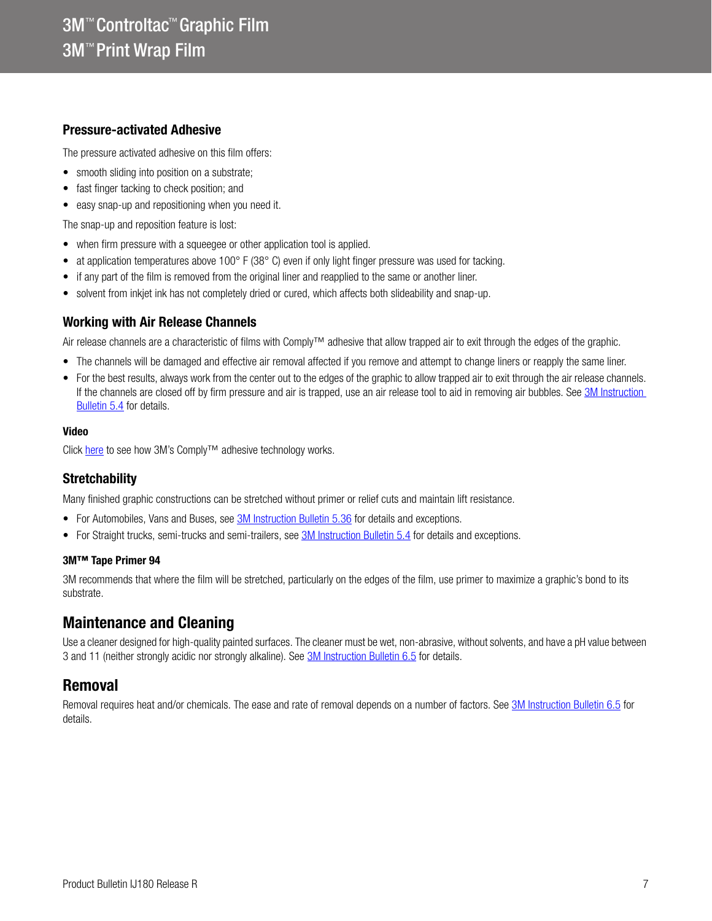#### Pressure-activated Adhesive

The pressure activated adhesive on this film offers:

- smooth sliding into position on a substrate;
- fast finger tacking to check position; and
- easy snap-up and repositioning when you need it.

The snap-up and reposition feature is lost:

- when firm pressure with a squeegee or other application tool is applied.
- at application temperatures above 100° F (38° C) even if only light finger pressure was used for tacking.
- if any part of the film is removed from the original liner and reapplied to the same or another liner.
- solvent from inkjet ink has not completely dried or cured, which affects both slideability and snap-up.

#### Working with Air Release Channels

Air release channels are a characteristic of films with Comply™ adhesive that allow trapped air to exit through the edges of the graphic.

- The channels will be damaged and effective air removal affected if you remove and attempt to change liners or reapply the same liner.
- For the best results, always work from the center out to the edges of the graphic to allow trapped air to exit through the air release channels. If the channels are closed off by firm pressure and air is trapped, use an air release tool to aid in removing air bubbles. See 3M Instruction [Bulletin 5.4](http://multimedia.3m.com/mws/media/12597O/5-4-application-of-film-to-vehicles-special-applications.pdf) for details.

#### Video

Click [here](http://multimedia.3m.com/mws/media/885563O/3ms-complytm-adhesive-for-bubble-free-installations-video.mp4) to see how 3M's Comply<sup>™</sup> adhesive technology works.

#### **Stretchability**

Many finished graphic constructions can be stretched without primer or relief cuts and maintain lift resistance.

- For Automobiles, Vans and Buses, see **3M Instruction Bulletin 5.36** for details and exceptions.
- For Straight trucks, semi-trucks and semi-trailers, see [3M Instruction Bulletin 5.4](http://multimedia.3m.com/mws/media/12597O/5-4-application-of-film-to-vehicles-special-applications.pdf) for details and exceptions.

#### 3M™ Tape Primer 94

3M recommends that where the film will be stretched, particularly on the edges of the film, use primer to maximize a graphic's bond to its substrate.

## Maintenance and Cleaning

Use a cleaner designed for high-quality painted surfaces. The cleaner must be wet, non-abrasive, without solvents, and have a pH value between 3 and 11 (neither strongly acidic nor strongly alkaline). See [3M Instruction Bulletin 6.5](http://multimedia.3m.com/mws/media/12593O/6-5-storage-handling-maintenance-removal-of-films-sheetings.pdf) for details.

## Removal

Removal requires heat and/or chemicals. The ease and rate of removal depends on a number of factors. See [3M Instruction Bulletin 6.5](http://multimedia.3m.com/mws/media/12593O/6-5-storage-handling-maintenance-removal-of-films-sheetings.pdf) for details.